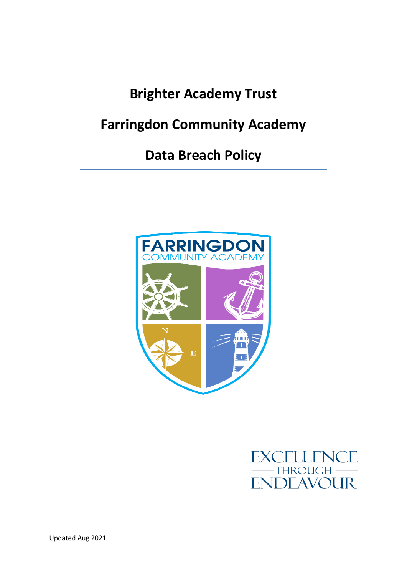# **Brighter Academy Trust**

## **Farringdon Community Academy**

## **Data Breach Policy**



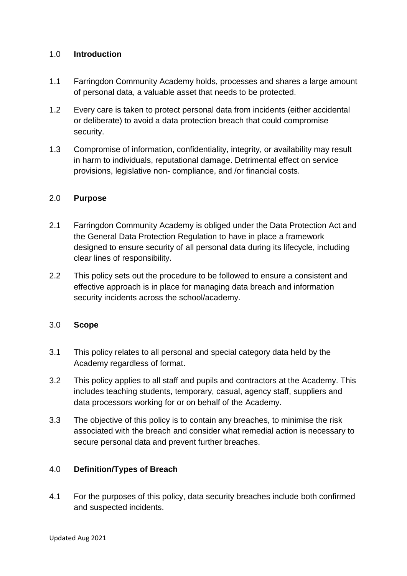## 1.0 **Introduction**

- 1.1 Farringdon Community Academy holds, processes and shares a large amount of personal data, a valuable asset that needs to be protected.
- 1.2 Every care is taken to protect personal data from incidents (either accidental or deliberate) to avoid a data protection breach that could compromise security.
- 1.3 Compromise of information, confidentiality, integrity, or availability may result in harm to individuals, reputational damage. Detrimental effect on service provisions, legislative non- compliance, and /or financial costs.

## 2.0 **Purpose**

- 2.1 Farringdon Community Academy is obliged under the Data Protection Act and the General Data Protection Regulation to have in place a framework designed to ensure security of all personal data during its lifecycle, including clear lines of responsibility.
- 2.2 This policy sets out the procedure to be followed to ensure a consistent and effective approach is in place for managing data breach and information security incidents across the school/academy.

#### 3.0 **Scope**

- 3.1 This policy relates to all personal and special category data held by the Academy regardless of format.
- 3.2 This policy applies to all staff and pupils and contractors at the Academy. This includes teaching students, temporary, casual, agency staff, suppliers and data processors working for or on behalf of the Academy.
- 3.3 The objective of this policy is to contain any breaches, to minimise the risk associated with the breach and consider what remedial action is necessary to secure personal data and prevent further breaches.

## 4.0 **Definition/Types of Breach**

4.1 For the purposes of this policy, data security breaches include both confirmed and suspected incidents.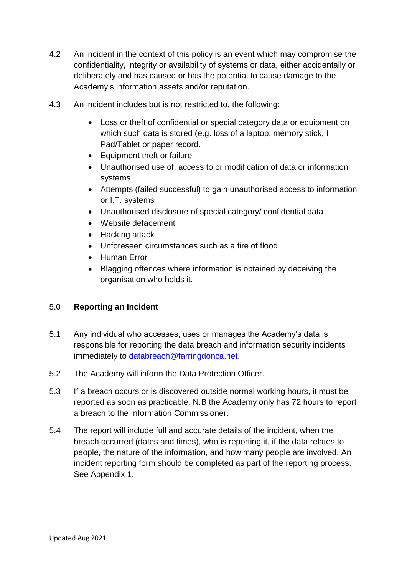- 4.2 An incident in the context of this policy is an event which may compromise the confidentiality, integrity or availability of systems or data, either accidentally or deliberately and has caused or has the potential to cause damage to the Academy's information assets and/or reputation.
- 4.3 An incident includes but is not restricted to, the following:
	- Loss or theft of confidential or special category data or equipment on which such data is stored (e.g. loss of a laptop, memory stick, I Pad/Tablet or paper record.
	- Equipment theft or failure
	- Unauthorised use of, access to or modification of data or information systems
	- Attempts (failed successful) to gain unauthorised access to information or I.T. systems
	- Unauthorised disclosure of special category/ confidential data
	- Website defacement
	- Hacking attack
	- Unforeseen circumstances such as a fire of flood
	- Human Error
	- Blagging offences where information is obtained by deceiving the organisation who holds it.

## 5.0 **Reporting an Incident**

- 5.1 Any individual who accesses, uses or manages the Academy's data is responsible for reporting the data breach and information security incidents immediately to [databreach@farringdonca.net.](mailto:databreach@farringdonca.net)
- 5.2 The Academy will inform the Data Protection Officer.
- 5.3 If a breach occurs or is discovered outside normal working hours, it must be reported as soon as practicable. N.B the Academy only has 72 hours to report a breach to the Information Commissioner.
- 5.4 The report will include full and accurate details of the incident, when the breach occurred (dates and times), who is reporting it, if the data relates to people, the nature of the information, and how many people are involved. An incident reporting form should be completed as part of the reporting process. See Appendix 1.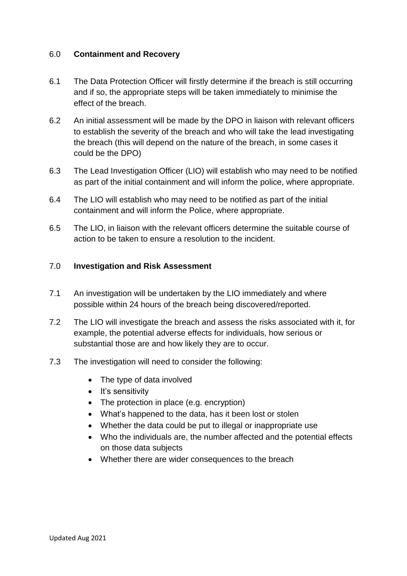#### 6.0 **Containment and Recovery**

- 6.1 The Data Protection Officer will firstly determine if the breach is still occurring and if so, the appropriate steps will be taken immediately to minimise the effect of the breach.
- 6.2 An initial assessment will be made by the DPO in liaison with relevant officers to establish the severity of the breach and who will take the lead investigating the breach (this will depend on the nature of the breach, in some cases it could be the DPO)
- 6.3 The Lead Investigation Officer (LIO) will establish who may need to be notified as part of the initial containment and will inform the police, where appropriate.
- 6.4 The LIO will establish who may need to be notified as part of the initial containment and will inform the Police, where appropriate.
- 6.5 The LIO, in liaison with the relevant officers determine the suitable course of action to be taken to ensure a resolution to the incident.

## 7.0 **Investigation and Risk Assessment**

- 7.1 An investigation will be undertaken by the LIO immediately and where possible within 24 hours of the breach being discovered/reported.
- 7.2 The LIO will investigate the breach and assess the risks associated with it, for example, the potential adverse effects for individuals, how serious or substantial those are and how likely they are to occur.
- 7.3 The investigation will need to consider the following:
	- The type of data involved
	- $\bullet$  It's sensitivity
	- The protection in place (e.g. encryption)
	- What's happened to the data, has it been lost or stolen
	- Whether the data could be put to illegal or inappropriate use
	- Who the individuals are, the number affected and the potential effects on those data subjects
	- Whether there are wider consequences to the breach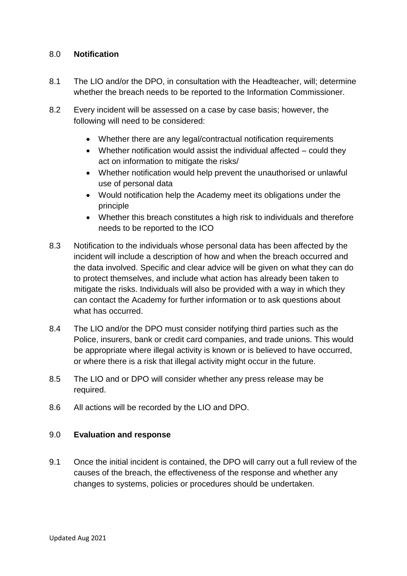#### 8.0 **Notification**

- 8.1 The LIO and/or the DPO, in consultation with the Headteacher, will; determine whether the breach needs to be reported to the Information Commissioner.
- 8.2 Every incident will be assessed on a case by case basis; however, the following will need to be considered:
	- Whether there are any legal/contractual notification requirements
	- Whether notification would assist the individual affected could they act on information to mitigate the risks/
	- Whether notification would help prevent the unauthorised or unlawful use of personal data
	- Would notification help the Academy meet its obligations under the principle
	- Whether this breach constitutes a high risk to individuals and therefore needs to be reported to the ICO
- 8.3 Notification to the individuals whose personal data has been affected by the incident will include a description of how and when the breach occurred and the data involved. Specific and clear advice will be given on what they can do to protect themselves, and include what action has already been taken to mitigate the risks. Individuals will also be provided with a way in which they can contact the Academy for further information or to ask questions about what has occurred.
- 8.4 The LIO and/or the DPO must consider notifying third parties such as the Police, insurers, bank or credit card companies, and trade unions. This would be appropriate where illegal activity is known or is believed to have occurred, or where there is a risk that illegal activity might occur in the future.
- 8.5 The LIO and or DPO will consider whether any press release may be required.
- 8.6 All actions will be recorded by the LIO and DPO.

#### 9.0 **Evaluation and response**

9.1 Once the initial incident is contained, the DPO will carry out a full review of the causes of the breach, the effectiveness of the response and whether any changes to systems, policies or procedures should be undertaken.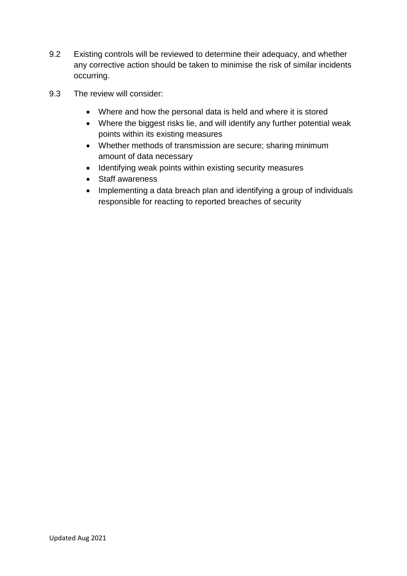- 9.2 Existing controls will be reviewed to determine their adequacy, and whether any corrective action should be taken to minimise the risk of similar incidents occurring.
- 9.3 The review will consider:
	- Where and how the personal data is held and where it is stored
	- Where the biggest risks lie, and will identify any further potential weak points within its existing measures
	- Whether methods of transmission are secure; sharing minimum amount of data necessary
	- Identifying weak points within existing security measures
	- Staff awareness
	- Implementing a data breach plan and identifying a group of individuals responsible for reacting to reported breaches of security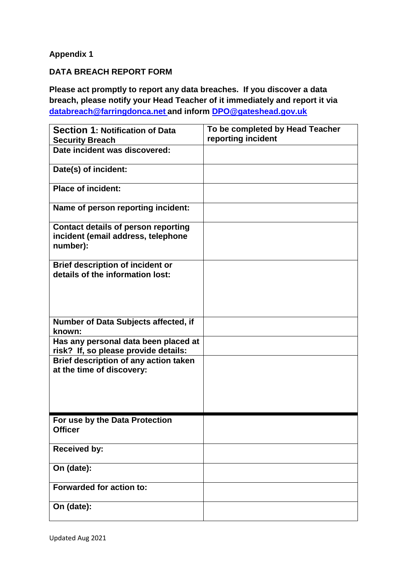## **Appendix 1**

## **DATA BREACH REPORT FORM**

**Please act promptly to report any data breaches. If you discover a data breach, please notify your Head Teacher of it immediately and report it via [databreach@farringdonca.net](mailto:databreach@farringdonca.net) and inform [DPO@gateshead.gov.uk](mailto:DPO@gateshead.gov.uk)**

| <b>Section 1: Notification of Data</b><br><b>Security Breach</b>                             | To be completed by Head Teacher<br>reporting incident |
|----------------------------------------------------------------------------------------------|-------------------------------------------------------|
| Date incident was discovered:                                                                |                                                       |
| Date(s) of incident:                                                                         |                                                       |
| <b>Place of incident:</b>                                                                    |                                                       |
| Name of person reporting incident:                                                           |                                                       |
| <b>Contact details of person reporting</b><br>incident (email address, telephone<br>number): |                                                       |
| <b>Brief description of incident or</b><br>details of the information lost:                  |                                                       |
| Number of Data Subjects affected, if<br>known:                                               |                                                       |
| Has any personal data been placed at<br>risk? If, so please provide details:                 |                                                       |
| Brief description of any action taken<br>at the time of discovery:                           |                                                       |
| For use by the Data Protection<br><b>Officer</b>                                             |                                                       |
| <b>Received by:</b>                                                                          |                                                       |
| On (date):                                                                                   |                                                       |
| <b>Forwarded for action to:</b>                                                              |                                                       |
| On (date):                                                                                   |                                                       |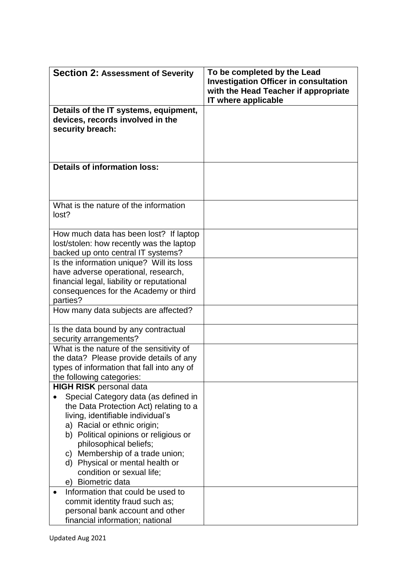| <b>Section 2: Assessment of Severity</b>                                                                                                                                                                                                                                                                                                                                        | To be completed by the Lead<br><b>Investigation Officer in consultation</b><br>with the Head Teacher if appropriate<br>IT where applicable |
|---------------------------------------------------------------------------------------------------------------------------------------------------------------------------------------------------------------------------------------------------------------------------------------------------------------------------------------------------------------------------------|--------------------------------------------------------------------------------------------------------------------------------------------|
| Details of the IT systems, equipment,<br>devices, records involved in the<br>security breach:                                                                                                                                                                                                                                                                                   |                                                                                                                                            |
| <b>Details of information loss:</b>                                                                                                                                                                                                                                                                                                                                             |                                                                                                                                            |
| What is the nature of the information<br>lost?                                                                                                                                                                                                                                                                                                                                  |                                                                                                                                            |
| How much data has been lost? If laptop<br>lost/stolen: how recently was the laptop<br>backed up onto central IT systems?                                                                                                                                                                                                                                                        |                                                                                                                                            |
| Is the information unique? Will its loss<br>have adverse operational, research,<br>financial legal, liability or reputational<br>consequences for the Academy or third<br>parties?                                                                                                                                                                                              |                                                                                                                                            |
| How many data subjects are affected?                                                                                                                                                                                                                                                                                                                                            |                                                                                                                                            |
| Is the data bound by any contractual<br>security arrangements?                                                                                                                                                                                                                                                                                                                  |                                                                                                                                            |
| What is the nature of the sensitivity of<br>the data? Please provide details of any<br>types of information that fall into any of<br>the following categories:                                                                                                                                                                                                                  |                                                                                                                                            |
| <b>HIGH RISK</b> personal data<br>Special Category data (as defined in<br>the Data Protection Act) relating to a<br>living, identifiable individual's<br>a) Racial or ethnic origin;<br>b) Political opinions or religious or<br>philosophical beliefs;<br>c) Membership of a trade union;<br>d) Physical or mental health or<br>condition or sexual life;<br>e) Biometric data |                                                                                                                                            |
| Information that could be used to<br>commit identity fraud such as;<br>personal bank account and other<br>financial information; national                                                                                                                                                                                                                                       |                                                                                                                                            |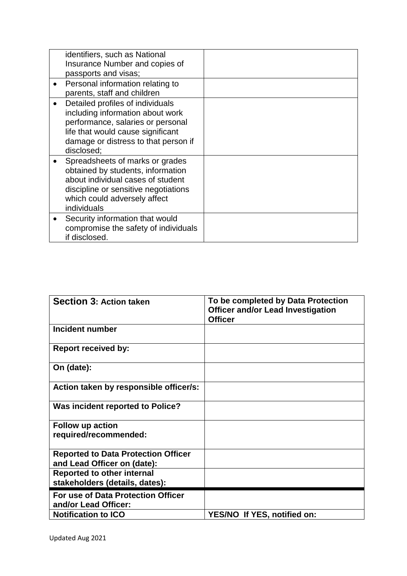|           | identifiers, such as National<br>Insurance Number and copies of                                                                                                                                      |  |
|-----------|------------------------------------------------------------------------------------------------------------------------------------------------------------------------------------------------------|--|
|           | passports and visas;                                                                                                                                                                                 |  |
|           | Personal information relating to<br>parents, staff and children                                                                                                                                      |  |
|           | Detailed profiles of individuals<br>including information about work<br>performance, salaries or personal<br>life that would cause significant<br>damage or distress to that person if<br>disclosed; |  |
|           | Spreadsheets of marks or grades<br>obtained by students, information<br>about individual cases of student<br>discipline or sensitive negotiations<br>which could adversely affect<br>individuals     |  |
| $\bullet$ | Security information that would<br>compromise the safety of individuals<br>if disclosed.                                                                                                             |  |

| <b>Section 3: Action taken</b>                                            | To be completed by Data Protection<br><b>Officer and/or Lead Investigation</b><br><b>Officer</b> |
|---------------------------------------------------------------------------|--------------------------------------------------------------------------------------------------|
| Incident number                                                           |                                                                                                  |
| <b>Report received by:</b>                                                |                                                                                                  |
| On (date):                                                                |                                                                                                  |
| Action taken by responsible officer/s:                                    |                                                                                                  |
| Was incident reported to Police?                                          |                                                                                                  |
| <b>Follow up action</b><br>required/recommended:                          |                                                                                                  |
| <b>Reported to Data Protection Officer</b><br>and Lead Officer on (date): |                                                                                                  |
| <b>Reported to other internal</b><br>stakeholders (details, dates):       |                                                                                                  |
| For use of Data Protection Officer<br>and/or Lead Officer:                |                                                                                                  |
| <b>Notification to ICO</b>                                                | YES/NO If YES, notified on:                                                                      |